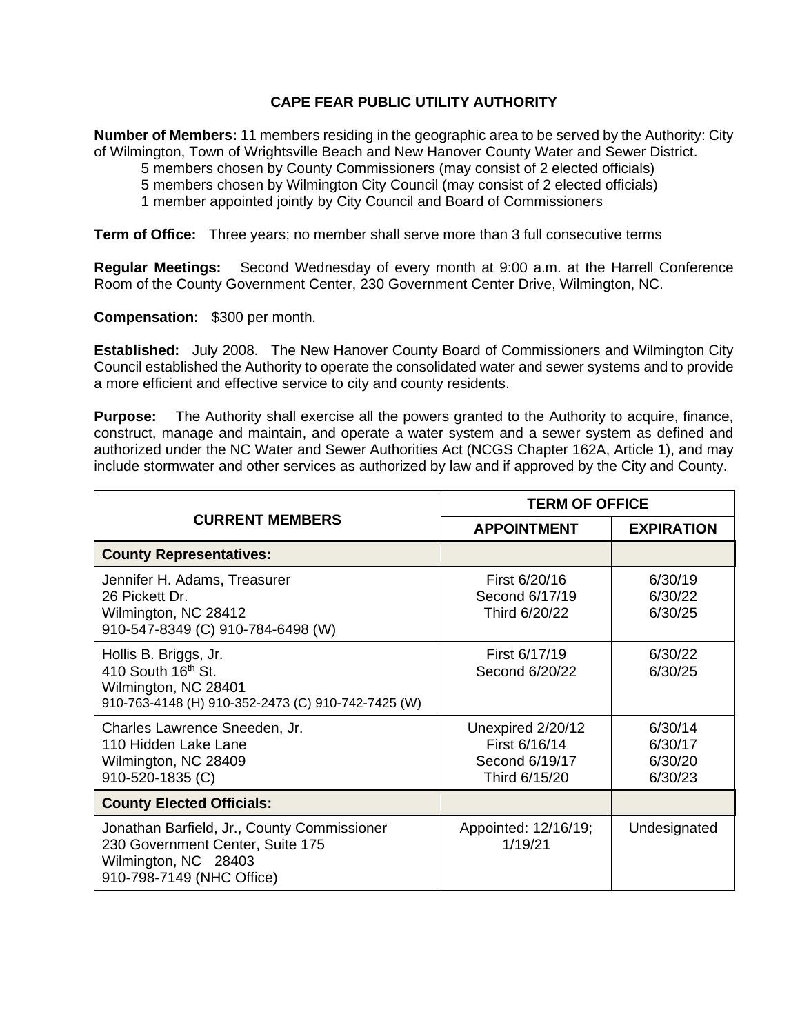## **CAPE FEAR PUBLIC UTILITY AUTHORITY**

**Number of Members:** 11 members residing in the geographic area to be served by the Authority: City of Wilmington, Town of Wrightsville Beach and New Hanover County Water and Sewer District.

5 members chosen by County Commissioners (may consist of 2 elected officials)

5 members chosen by Wilmington City Council (may consist of 2 elected officials)

1 member appointed jointly by City Council and Board of Commissioners

**Term of Office:** Three years; no member shall serve more than 3 full consecutive terms

**Regular Meetings:** Second Wednesday of every month at 9:00 a.m. at the Harrell Conference Room of the County Government Center, 230 Government Center Drive, Wilmington, NC.

**Compensation:** \$300 per month.

**Established:** July 2008. The New Hanover County Board of Commissioners and Wilmington City Council established the Authority to operate the consolidated water and sewer systems and to provide a more efficient and effective service to city and county residents.

**Purpose:** The Authority shall exercise all the powers granted to the Authority to acquire, finance, construct, manage and maintain, and operate a water system and a sewer system as defined and authorized under the NC Water and Sewer Authorities Act (NCGS Chapter 162A, Article 1), and may include stormwater and other services as authorized by law and if approved by the City and County.

| <b>CURRENT MEMBERS</b>                                                                                                               | <b>TERM OF OFFICE</b>                                                 |                                          |
|--------------------------------------------------------------------------------------------------------------------------------------|-----------------------------------------------------------------------|------------------------------------------|
|                                                                                                                                      | <b>APPOINTMENT</b>                                                    | <b>EXPIRATION</b>                        |
| <b>County Representatives:</b>                                                                                                       |                                                                       |                                          |
| Jennifer H. Adams, Treasurer<br>26 Pickett Dr.<br>Wilmington, NC 28412<br>910-547-8349 (C) 910-784-6498 (W)                          | First 6/20/16<br>Second 6/17/19<br>Third 6/20/22                      | 6/30/19<br>6/30/22<br>6/30/25            |
| Hollis B. Briggs, Jr.<br>410 South 16th St.<br>Wilmington, NC 28401<br>910-763-4148 (H) 910-352-2473 (C) 910-742-7425 (W)            | First 6/17/19<br>Second 6/20/22                                       | 6/30/22<br>6/30/25                       |
| Charles Lawrence Sneeden, Jr.<br>110 Hidden Lake Lane<br>Wilmington, NC 28409<br>910-520-1835 (C)                                    | Unexpired 2/20/12<br>First 6/16/14<br>Second 6/19/17<br>Third 6/15/20 | 6/30/14<br>6/30/17<br>6/30/20<br>6/30/23 |
| <b>County Elected Officials:</b>                                                                                                     |                                                                       |                                          |
| Jonathan Barfield, Jr., County Commissioner<br>230 Government Center, Suite 175<br>Wilmington, NC 28403<br>910-798-7149 (NHC Office) | Appointed: 12/16/19;<br>1/19/21                                       | Undesignated                             |